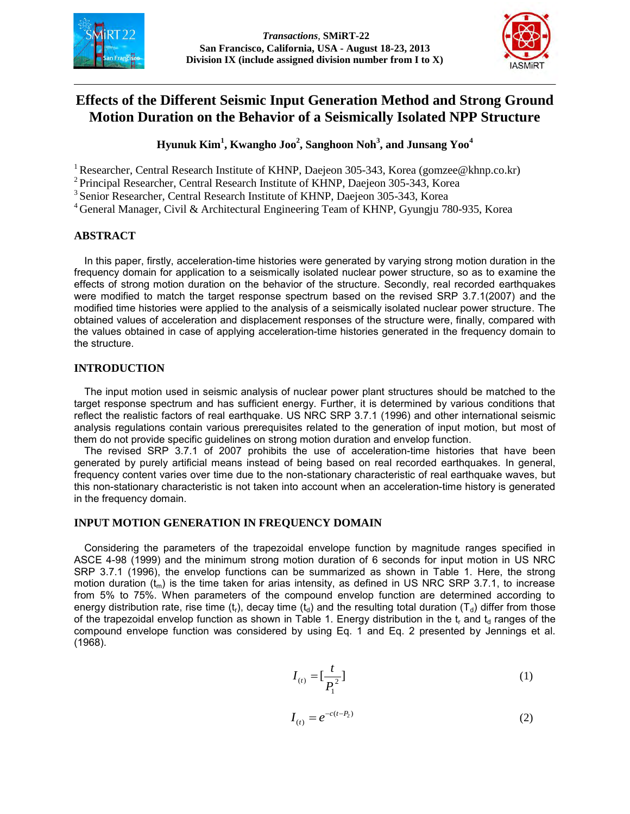



# **Effects of the Different Seismic Input Generation Method and Strong Ground Motion Duration on the Behavior of a Seismically Isolated NPP Structure**

## **Hyunuk Kim<sup>1</sup> , Kwangho Joo<sup>2</sup> , Sanghoon Noh<sup>3</sup> , and Junsang Yoo<sup>4</sup>**

<sup>1</sup> Researcher, Central Research Institute of KHNP, Daejeon 305-343, Korea (gomzee@khnp.co.kr)

<sup>2</sup> Principal Researcher, Central Research Institute of KHNP, Daejeon 305-343, Korea

<sup>3</sup> Senior Researcher, Central Research Institute of KHNP, Daejeon 305-343, Korea

<sup>4</sup> General Manager, Civil & Architectural Engineering Team of KHNP, Gyungju 780-935, Korea

#### **ABSTRACT**

In this paper, firstly, acceleration-time histories were generated by varying strong motion duration in the frequency domain for application to a seismically isolated nuclear power structure, so as to examine the effects of strong motion duration on the behavior of the structure. Secondly, real recorded earthquakes were modified to match the target response spectrum based on the revised SRP 3.7.1(2007) and the modified time histories were applied to the analysis of a seismically isolated nuclear power structure. The obtained values of acceleration and displacement responses of the structure were, finally, compared with the values obtained in case of applying acceleration-time histories generated in the frequency domain to the structure.

### **INTRODUCTION**

The input motion used in seismic analysis of nuclear power plant structures should be matched to the target response spectrum and has sufficient energy. Further, it is determined by various conditions that reflect the realistic factors of real earthquake. US NRC SRP 3.7.1 (1996) and other international seismic analysis regulations contain various prerequisites related to the generation of input motion, but most of them do not provide specific guidelines on strong motion duration and envelop function.

The revised SRP 3.7.1 of 2007 prohibits the use of acceleration-time histories that have been generated by purely artificial means instead of being based on real recorded earthquakes. In general, frequency content varies over time due to the non-stationary characteristic of real earthquake waves, but this non-stationary characteristic is not taken into account when an acceleration-time history is generated in the frequency domain.

## **INPUT MOTION GENERATION IN FREQUENCY DOMAIN**

Considering the parameters of the trapezoidal envelope function by magnitude ranges specified in ASCE 4-98 (1999) and the minimum strong motion duration of 6 seconds for input motion in US NRC SRP 3.7.1 (1996), the envelop functions can be summarized as shown in Table 1. Here, the strong motion duration  $(t_m)$  is the time taken for arias intensity, as defined in US NRC SRP 3.7.1, to increase from 5% to 75%. When parameters of the compound envelop function are determined according to energy distribution rate, rise time (t<sub>r</sub>), decay time (t<sub>d</sub>) and the resulting total duration (T<sub>d</sub>) differ from those of the trapezoidal envelop function as shown in Table 1. Energy distribution in the  $t_r$  and  $t_d$  ranges of the compound envelope function was considered by using Eq. 1 and Eq. 2 presented by Jennings et al. (1968).

$$
I_{(t)} = \left[\frac{t}{P_1^2}\right] \tag{1}
$$

$$
I_{(t)} = e^{-c(t - P_2)}
$$
 (2)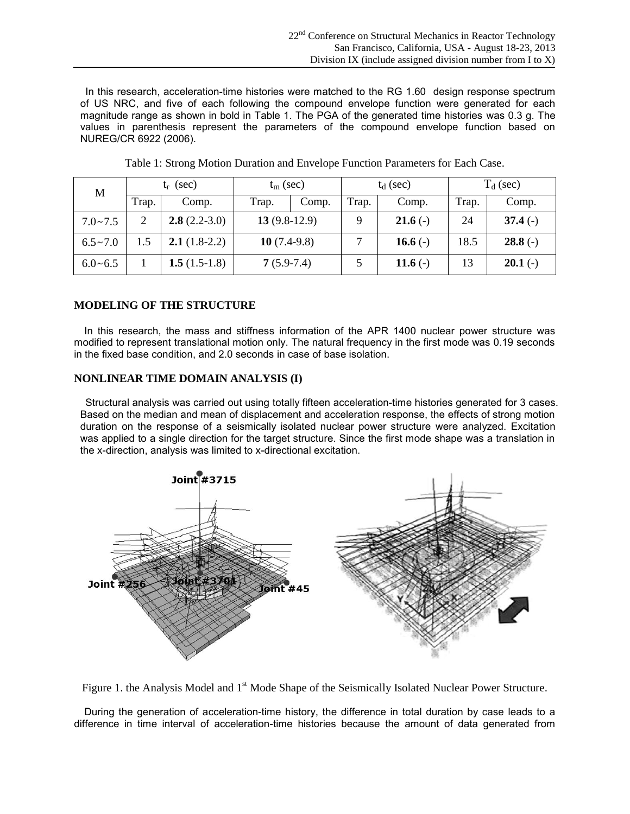In this research, acceleration-time histories were matched to the RG 1.60 design response spectrum of US NRC, and five of each following the compound envelope function were generated for each magnitude range as shown in bold in Table 1. The PGA of the generated time histories was 0.3 g. The values in parenthesis represent the parameters of the compound envelope function based on NUREG/CR 6922 (2006).

| M                | (sec)<br>t.    |                 | $t_m$ (sec)    |       | $t_d$ (sec) |            | $T_d$ (sec) |           |
|------------------|----------------|-----------------|----------------|-------|-------------|------------|-------------|-----------|
|                  | Trap.          | Comp.           | Trap.          | Comp. | Trap.       | Comp.      | Trap.       | Comp.     |
| $7.0 - 7.5$      | $\overline{2}$ | $2.8(2.2-3.0)$  | $13(9.8-12.9)$ |       | Q           | $21.6(-)$  | 24          | $37.4(-)$ |
| $6.5 \sim 7.0$   | 1.5            | $2.1(1.8-2.2)$  | 10 $(7.4-9.8)$ |       |             | 16.6 $(-)$ | 18.5        | $28.8(-)$ |
| $6.0 \times 6.5$ |                | 1.5 $(1.5-1.8)$ | $7(5.9-7.4)$   |       |             | 11.6 $(-)$ | 13          | $20.1(-)$ |

Table 1: Strong Motion Duration and Envelope Function Parameters for Each Case.

## **MODELING OF THE STRUCTURE**

In this research, the mass and stiffness information of the APR 1400 nuclear power structure was modified to represent translational motion only. The natural frequency in the first mode was 0.19 seconds in the fixed base condition, and 2.0 seconds in case of base isolation.

### **NONLINEAR TIME DOMAIN ANALYSIS (I)**

Structural analysis was carried out using totally fifteen acceleration-time histories generated for 3 cases. Based on the median and mean of displacement and acceleration response, the effects of strong motion duration on the response of a seismically isolated nuclear power structure were analyzed. Excitation was applied to a single direction for the target structure. Since the first mode shape was a translation in the x-direction, analysis was limited to x-directional excitation.



Figure 1. the Analysis Model and 1<sup>st</sup> Mode Shape of the Seismically Isolated Nuclear Power Structure.

During the generation of acceleration-time history, the difference in total duration by case leads to a difference in time interval of acceleration-time histories because the amount of data generated from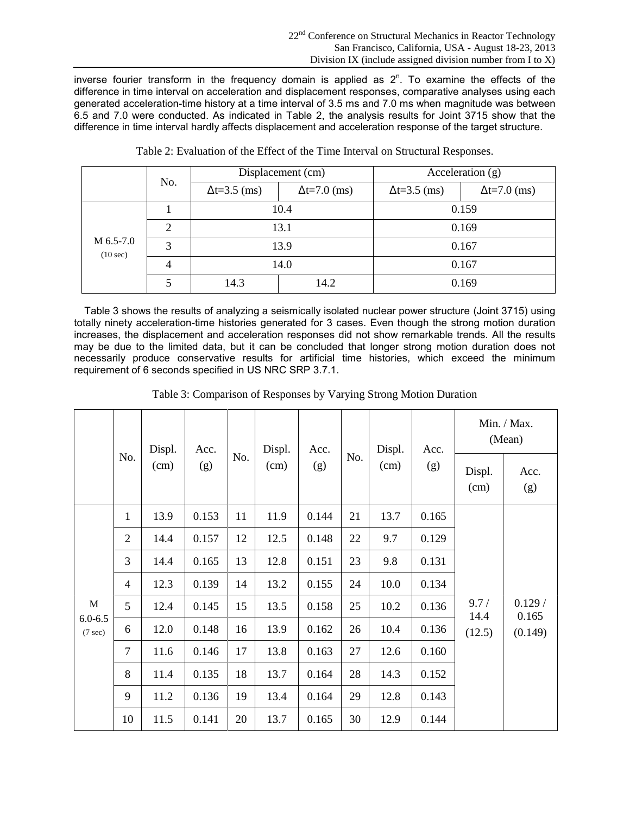inverse fourier transform in the frequency domain is applied as  $2<sup>n</sup>$ . To examine the effects of the difference in time interval on acceleration and displacement responses, comparative analyses using each generated acceleration-time history at a time interval of 3.5 ms and 7.0 ms when magnitude was between 6.5 and 7.0 were conducted. As indicated in Table 2, the analysis results for Joint 3715 show that the difference in time interval hardly affects displacement and acceleration response of the target structure.

|                       |                             |                       | Displacement (cm)     | Acceleration $(g)$    |                       |  |
|-----------------------|-----------------------------|-----------------------|-----------------------|-----------------------|-----------------------|--|
|                       | No.                         | $\Delta t = 3.5$ (ms) | $\Delta t = 7.0$ (ms) | $\Delta t = 3.5$ (ms) | $\Delta t = 7.0$ (ms) |  |
|                       |                             |                       | 10.4                  | 0.159                 |                       |  |
|                       | $\mathcal{D}_{\mathcal{L}}$ |                       | 13.1                  | 0.169                 |                       |  |
| M 6.5-7.0<br>(10 sec) | 3                           |                       | 13.9                  | 0.167                 |                       |  |
|                       | $\overline{4}$              |                       | 14.0                  | 0.167                 |                       |  |
|                       |                             | 14.3                  | 14.2                  | 0.169                 |                       |  |

Table 2: Evaluation of the Effect of the Time Interval on Structural Responses.

Table 3 shows the results of analyzing a seismically isolated nuclear power structure (Joint 3715) using totally ninety acceleration-time histories generated for 3 cases. Even though the strong motion duration increases, the displacement and acceleration responses did not show remarkable trends. All the results may be due to the limited data, but it can be concluded that longer strong motion duration does not necessarily produce conservative results for artificial time histories, which exceed the minimum requirement of 6 seconds specified in US NRC SRP 3.7.1.

|                                  |                | Displ.<br>(cm) | Acc.<br>(g) | No. | Displ.<br>(cm) | Acc.<br>(g) | No. | Displ.<br>(cm) | Acc.<br>(g) | Min. / Max.<br>(Mean)  |                            |
|----------------------------------|----------------|----------------|-------------|-----|----------------|-------------|-----|----------------|-------------|------------------------|----------------------------|
|                                  | No.            |                |             |     |                |             |     |                |             | Displ.<br>(cm)         | Acc.<br>(g)                |
|                                  | $\mathbf{1}$   | 13.9           | 0.153       | 11  | 11.9           | 0.144       | 21  | 13.7           | 0.165       |                        |                            |
|                                  | $\overline{2}$ | 14.4           | 0.157       | 12  | 12.5           | 0.148       | 22  | 9.7            | 0.129       | 9.7/<br>14.4<br>(12.5) | 0.129/<br>0.165<br>(0.149) |
|                                  | 3              | 14.4           | 0.165       | 13  | 12.8           | 0.151       | 23  | 9.8            | 0.131       |                        |                            |
|                                  | $\overline{4}$ | 12.3           | 0.139       | 14  | 13.2           | 0.155       | 24  | 10.0           | 0.134       |                        |                            |
| $\mathbf M$                      | 5              | 12.4           | 0.145       | 15  | 13.5           | 0.158       | 25  | 10.2           | 0.136       |                        |                            |
| $6.0 - 6.5$<br>$(7 \text{ sec})$ | 6              | 12.0           | 0.148       | 16  | 13.9           | 0.162       | 26  | 10.4           | 0.136       |                        |                            |
|                                  | $\tau$         | 11.6           | 0.146       | 17  | 13.8           | 0.163       | 27  | 12.6           | 0.160       |                        |                            |
|                                  | 8              | 11.4           | 0.135       | 18  | 13.7           | 0.164       | 28  | 14.3           | 0.152       |                        |                            |
|                                  | 9              | 11.2           | 0.136       | 19  | 13.4           | 0.164       | 29  | 12.8           | 0.143       |                        |                            |
|                                  | 10             | 11.5           | 0.141       | 20  | 13.7           | 0.165       | 30  | 12.9           | 0.144       |                        |                            |

Table 3: Comparison of Responses by Varying Strong Motion Duration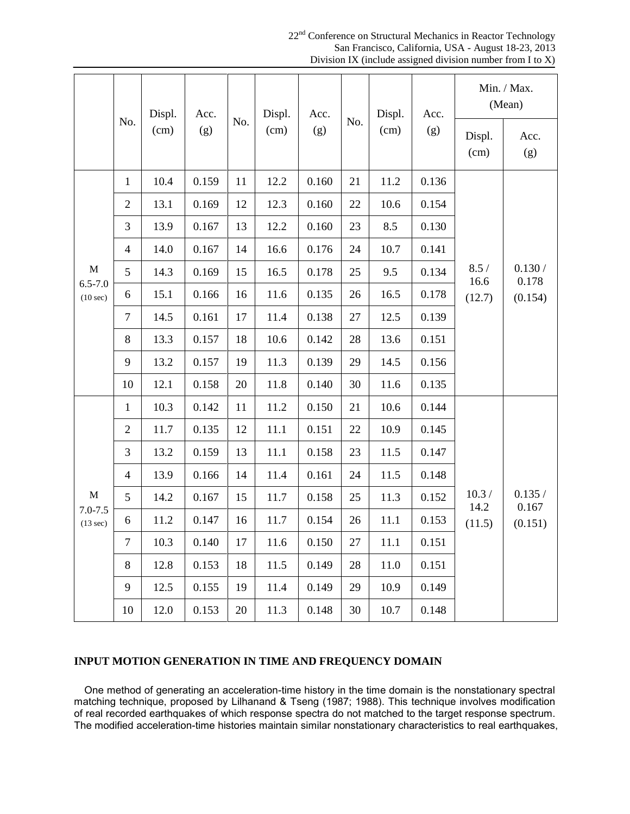22<sup>nd</sup> Conference on Structural Mechanics in Reactor Technology San Francisco, California, USA - August 18-23, 2013 Division IX (include assigned division number from I to X)

|                         |                | Displ.<br>(cm) | Acc.<br>(g) |     | Displ.<br>(cm) | Acc.<br>(g) | No. | Displ.<br>(cm) | Acc.<br>(g) | Min. / Max.<br>(Mean)  |                            |
|-------------------------|----------------|----------------|-------------|-----|----------------|-------------|-----|----------------|-------------|------------------------|----------------------------|
|                         | No.            |                |             | No. |                |             |     |                |             | Displ.<br>(cm)         | Acc.<br>(g)                |
|                         | $\mathbf{1}$   | 10.4           | 0.159       | 11  | 12.2           | 0.160       | 21  | 11.2           | 0.136       |                        | 0.130/<br>0.178<br>(0.154) |
|                         | $\mathbf{2}$   | 13.1           | 0.169       | 12  | 12.3           | 0.160       | 22  | 10.6           | 0.154       |                        |                            |
|                         | 3              | 13.9           | 0.167       | 13  | 12.2           | 0.160       | 23  | 8.5            | 0.130       |                        |                            |
|                         | $\overline{4}$ | 14.0           | 0.167       | 14  | 16.6           | 0.176       | 24  | 10.7           | 0.141       | 8.5/<br>16.6<br>(12.7) |                            |
| M                       | 5              | 14.3           | 0.169       | 15  | 16.5           | 0.178       | 25  | 9.5            | 0.134       |                        |                            |
| $6.5 - 7.0$<br>(10 sec) | 6              | 15.1           | 0.166       | 16  | 11.6           | 0.135       | 26  | 16.5           | 0.178       |                        |                            |
|                         | $\tau$         | 14.5           | 0.161       | 17  | 11.4           | 0.138       | 27  | 12.5           | 0.139       |                        |                            |
|                         | 8              | 13.3           | 0.157       | 18  | 10.6           | 0.142       | 28  | 13.6           | 0.151       |                        |                            |
|                         | 9              | 13.2           | 0.157       | 19  | 11.3           | 0.139       | 29  | 14.5           | 0.156       |                        |                            |
|                         | 10             | 12.1           | 0.158       | 20  | 11.8           | 0.140       | 30  | 11.6           | 0.135       |                        |                            |
|                         | $\mathbf{1}$   | 10.3           | 0.142       | 11  | 11.2           | 0.150       | 21  | 10.6           | 0.144       |                        |                            |
|                         | $\mathbf{2}$   | 11.7           | 0.135       | 12  | 11.1           | 0.151       | 22  | 10.9           | 0.145       |                        |                            |
|                         | 3              | 13.2           | 0.159       | 13  | 11.1           | 0.158       | 23  | 11.5           | 0.147       |                        |                            |
|                         | $\overline{4}$ | 13.9           | 0.166       | 14  | 11.4           | 0.161       | 24  | 11.5           | 0.148       |                        |                            |
| M                       | 5              | 14.2           | 0.167       | 15  | 11.7           | 0.158       | 25  | 11.3           | 0.152       | 10.3 /<br>14.2         | 0.135/<br>0.167            |
| $7.0 - 7.5$<br>(13 sec) | 6              | 11.2           | 0.147       | 16  | 11.7           | 0.154       | 26  | 11.1           | 0.153       | (11.5)                 | (0.151)                    |
|                         | $\tau$         | 10.3           | 0.140       | 17  | 11.6           | 0.150       | 27  | 11.1           | 0.151       |                        |                            |
|                         | 8              | 12.8           | 0.153       | 18  | 11.5           | 0.149       | 28  | 11.0           | 0.151       |                        |                            |
|                         | 9              | 12.5           | 0.155       | 19  | 11.4           | 0.149       | 29  | 10.9           | 0.149       |                        |                            |
|                         | 10             | 12.0           | 0.153       | 20  | 11.3           | 0.148       | 30  | 10.7           | 0.148       |                        |                            |

## **INPUT MOTION GENERATION IN TIME AND FREQUENCY DOMAIN**

One method of generating an acceleration-time history in the time domain is the nonstationary spectral matching technique, proposed by Lilhanand & Tseng (1987; 1988). This technique involves modification of real recorded earthquakes of which response spectra do not matched to the target response spectrum. The modified acceleration-time histories maintain similar nonstationary characteristics to real earthquakes,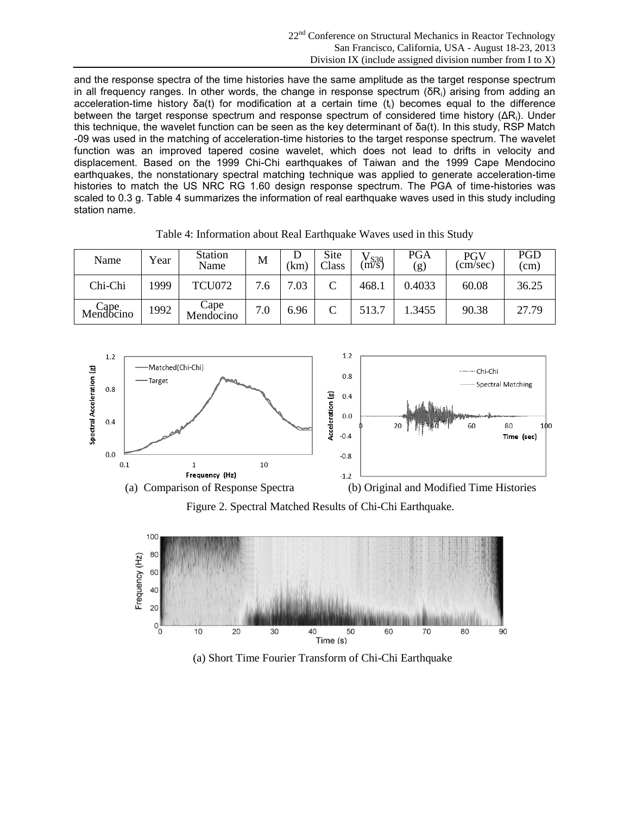and the response spectra of the time histories have the same amplitude as the target response spectrum in all frequency ranges. In other words, the change in response spectrum ( $\delta R_i$ ) arising from adding an acceleration-time history δa(t) for modification at a certain time (ti) becomes equal to the difference between the target response spectrum and response spectrum of considered time history (ΔRi). Under this technique, the wavelet function can be seen as the key determinant of δa(t). In this study, RSP Match -09 was used in the matching of acceleration-time histories to the target response spectrum. The wavelet function was an improved tapered cosine wavelet, which does not lead to drifts in velocity and displacement. Based on the 1999 Chi-Chi earthquakes of Taiwan and the 1999 Cape Mendocino earthquakes, the nonstationary spectral matching technique was applied to generate acceleration-time histories to match the US NRC RG 1.60 design response spectrum. The PGA of time-histories was scaled to 0.3 g. Table 4 summarizes the information of real earthquake waves used in this study including station name.

| Name               | Year | <b>Station</b><br>Name | М   | 'km  | Site<br>Class | $V_{S30} \n(m/s)$ | <b>PGA</b><br>(g) | PGV<br>(cm/sec) | <b>PGD</b><br>(cm) |
|--------------------|------|------------------------|-----|------|---------------|-------------------|-------------------|-----------------|--------------------|
| Chi-Chi            | 1999 | <b>TCU072</b>          | 7.6 | 7.03 | $\subset$     | 468.1             | 0.4033            | 60.08           | 36.25              |
| Cape.<br>Mendocino | 1992 | Cape<br>Mendocino      | 7.0 | 6.96 |               | 513.7             | 1.3455            | 90.38           | 27.79              |

Table 4: Information about Real Earthquake Waves used in this Study



Figure 2. Spectral Matched Results of Chi-Chi Earthquake.



(a) Short Time Fourier Transform of Chi-Chi Earthquake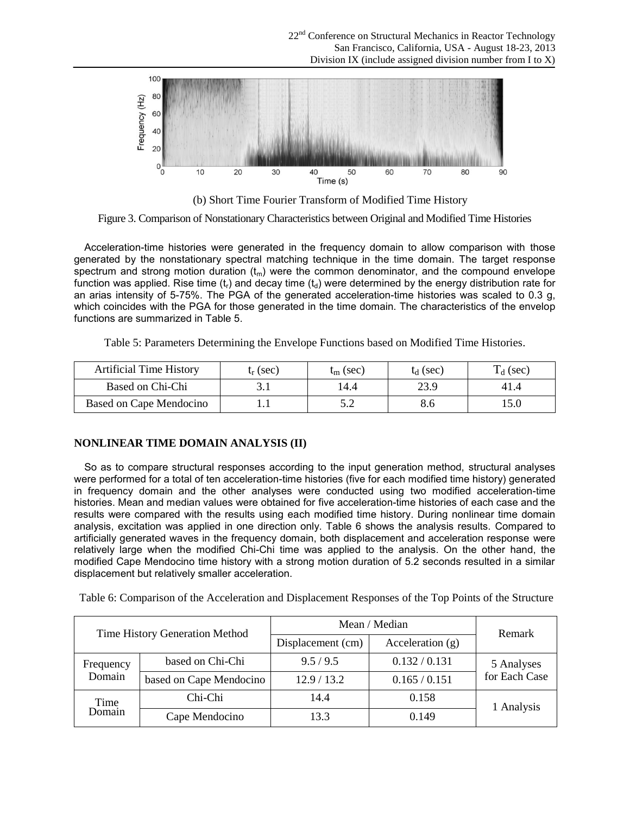

(b) Short Time Fourier Transform of Modified Time History

Figure 3. Comparison of Nonstationary Characteristics between Original and Modified Time Histories

Acceleration-time histories were generated in the frequency domain to allow comparison with those generated by the nonstationary spectral matching technique in the time domain. The target response spectrum and strong motion duration  $(t_m)$  were the common denominator, and the compound envelope function was applied. Rise time  $(t_1)$  and decay time  $(t_0)$  were determined by the energy distribution rate for an arias intensity of 5-75%. The PGA of the generated acceleration-time histories was scaled to 0.3 g, which coincides with the PGA for those generated in the time domain. The characteristics of the envelop functions are summarized in Table 5.

Table 5: Parameters Determining the Envelope Functions based on Modified Time Histories.

| <b>Artificial Time History</b> | $\mathfrak{t}_{r}$ (sec) | $t_{\rm m}$ (sec) | $L_1$ (sec) | $\Gamma_d$ (sec) |
|--------------------------------|--------------------------|-------------------|-------------|------------------|
| Based on Chi-Chi               |                          | 14.4              | 23.9        |                  |
| Based on Cape Mendocino        |                          | ے . د             |             | 15.0             |

### **NONLINEAR TIME DOMAIN ANALYSIS (II)**

So as to compare structural responses according to the input generation method, structural analyses were performed for a total of ten acceleration-time histories (five for each modified time history) generated in frequency domain and the other analyses were conducted using two modified acceleration-time histories. Mean and median values were obtained for five acceleration-time histories of each case and the results were compared with the results using each modified time history. During nonlinear time domain analysis, excitation was applied in one direction only. Table 6 shows the analysis results. Compared to artificially generated waves in the frequency domain, both displacement and acceleration response were relatively large when the modified Chi-Chi time was applied to the analysis. On the other hand, the modified Cape Mendocino time history with a strong motion duration of 5.2 seconds resulted in a similar displacement but relatively smaller acceleration.

Table 6: Comparison of the Acceleration and Displacement Responses of the Top Points of the Structure

| Time History Generation Method |                         | Mean / Median     | Remark             |               |
|--------------------------------|-------------------------|-------------------|--------------------|---------------|
|                                |                         | Displacement (cm) | Acceleration $(g)$ |               |
| Frequency                      | based on Chi-Chi        | 9.5/9.5           | 0.132 / 0.131      | 5 Analyses    |
| Domain                         | based on Cape Mendocino | 12.9/13.2         | 0.165 / 0.151      | for Each Case |
| Time<br>Domain                 | Chi-Chi                 | 14.4              | 0.158              | 1 Analysis    |
|                                | Cape Mendocino          | 13.3              | 0.149              |               |